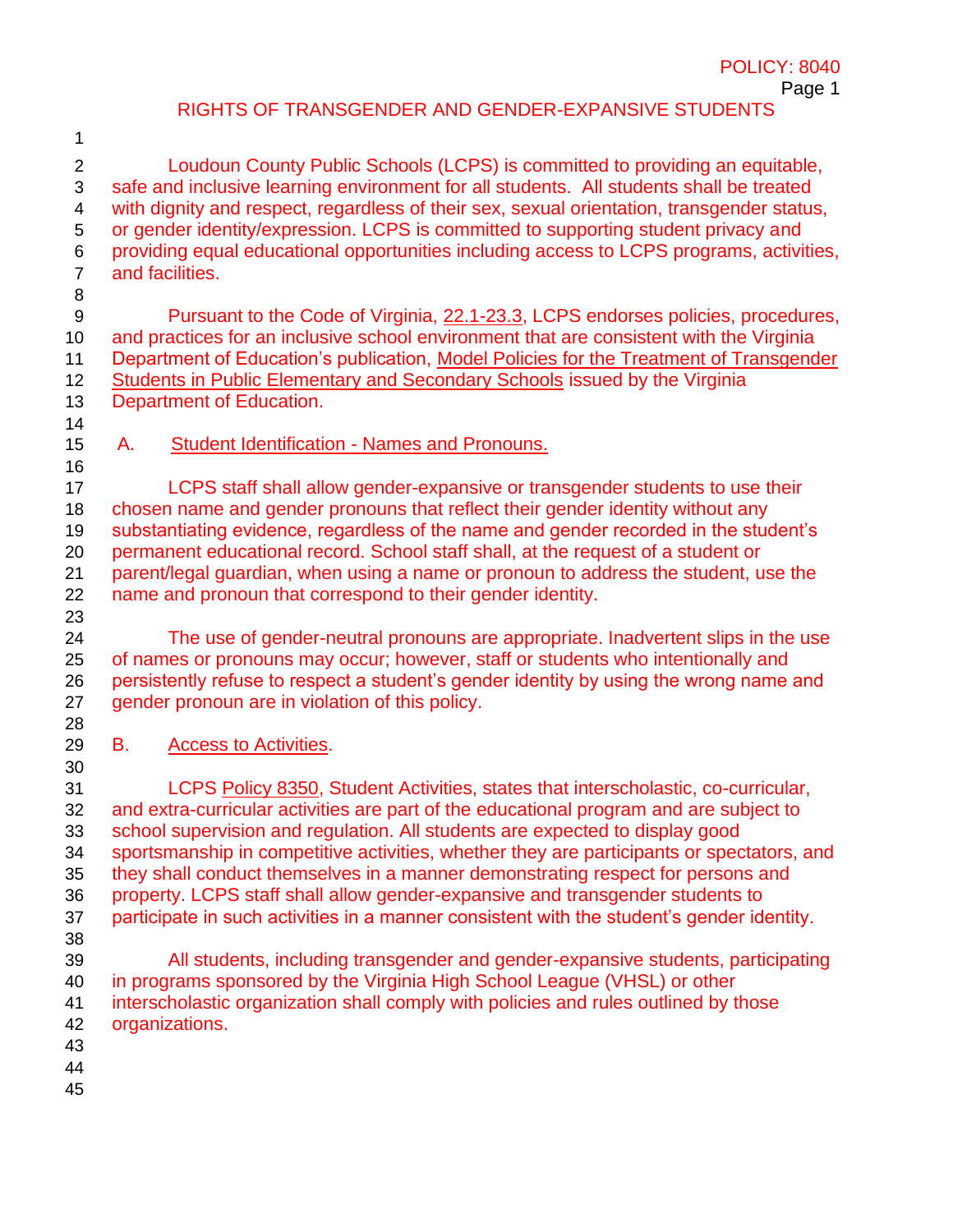## RIGHTS OF TRANSGENDER AND GENDER-EXPANSIVE STUDENTS

 Loudoun County Public Schools (LCPS) is committed to providing an equitable, safe and inclusive learning environment for all students. All students shall be treated with dignity and respect, regardless of their sex, sexual orientation, transgender status, or gender identity/expression. LCPS is committed to supporting student privacy and providing equal educational opportunities including access to LCPS programs, activities, and facilities. Pursuant to the Code of Virginia[,](http://law.lis.virginia.gov/vacode/22.1-23.3) [22.1-23.3,](http://law.lis.virginia.gov/vacode/22.1-23.3) LCPS endorses policies, procedures, and practices for an inclusive school environment that are consistent with the Virginia 11 Department of Education's publication, Model Policies for the Treatment of Transgender [Students in Public Elementary and Secondary Schools](https://www.doe.virginia.gov/support/gender-diversity/transgender-student-model-policies.docx) issued by the Virginia Department of Education. A. Student Identification - Names and Pronouns. LCPS staff shall allow gender-expansive or transgender students to use their chosen name and gender pronouns that reflect their gender identity without any substantiating evidence, regardless of the name and gender recorded in the student's permanent educational record. School staff shall, at the request of a student or parent/legal guardian, when using a name or pronoun to address the student, use the name and pronoun that correspond to their gender identity. The use of gender-neutral pronouns are appropriate. Inadvertent slips in the use of names or pronouns may occur; however, staff or students who intentionally and persistently refuse to respect a student's gender identity by using the wrong name and 27 gender pronoun are in violation of this policy. B. Access to Activities. LCPS [Policy 8350,](https://go.boarddocs.com/vsba/loudoun/Board.nsf/files/B8UN295C678E/$file/8350.pdf) Student Activities, states that interscholastic, co-curricular, and extra-curricular activities are part of the educational program and are subject to school supervision and regulation. All students are expected to display good sportsmanship in competitive activities, whether they are participants or spectators, and they shall conduct themselves in a manner demonstrating respect for persons and property. LCPS staff shall allow gender-expansive and transgender students to participate in such activities in a manner consistent with the student's gender identity. All students, including transgender and gender-expansive students, participating in programs sponsored by the Virginia High School League (VHSL) or other interscholastic organization shall comply with policies and rules outlined by those organizations.